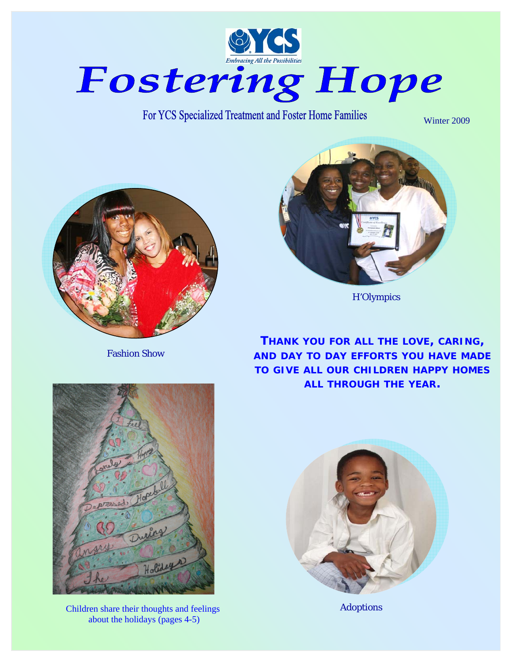

For YCS Specialized Treatment and Foster Home Families

Winter 2009



Fashion Show



H'Olympics

**THANK YOU FOR ALL THE LOVE, CARING, AND DAY TO DAY EFFORTS YOU HAVE MADE TO GIVE ALL OUR CHILDREN HAPPY HOMES ALL THROUGH THE YEAR.** 



Children share their thoughts and feelings Adoptions about the holidays (pages 4-5)

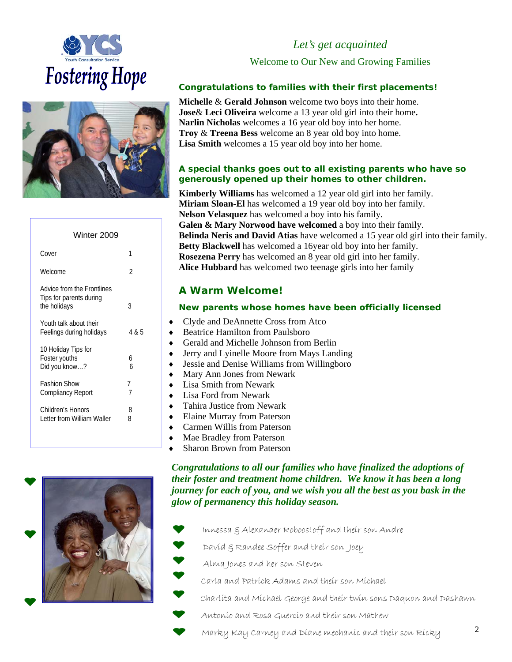



| 1                   |
|---------------------|
| $\mathfrak{D}$      |
| 3                   |
| 4 & 5               |
| 6<br>h              |
| 7<br>$\overline{7}$ |
| 8<br>ጸ              |
|                     |

# *Let's get acquainted*

Welcome to Our New and Growing Families

## *Congratulations to families with their first placements!*

**Michelle** & **Gerald Johnson** welcome two boys into their home. **Jose**& **Leci Oliveira** welcome a 13 year old girl into their home**. Narlin Nicholas** welcomes a 16 year old boy into her home. **Troy** & **Treena Bess** welcome an 8 year old boy into home. **Lisa Smith** welcomes a 15 year old boy into her home.

## *A special thanks goes out to all existing parents who have so generously opened up their homes to other children.*

**Kimberly Williams** has welcomed a 12 year old girl into her family. **Miriam Sloan-El** has welcomed a 19 year old boy into her family. **Nelson Velasquez** has welcomed a boy into his family. **Galen & Mary Norwood have welcomed** a boy into their family. **Belinda Neris and David Atias** have welcomed a 15 year old girl into their family. **Betty Blackwell** has welcomed a 16year old boy into her family. **Rosezena Perry** has welcomed an 8 year old girl into her family. **Alice Hubbard** has welcomed two teenage girls into her family

# *A Warm Welcome!*

### *New parents whose homes have been officially licensed*

- Clyde and DeAnnette Cross from Atco
- **Beatrice Hamilton from Paulsboro**
- Gerald and Michelle Johnson from Berlin
- Jerry and Lyinelle Moore from Mays Landing
- **Jessie and Denise Williams from Willingboro**
- Mary Ann Jones from Newark
- **Lisa Smith from Newark**
- ♦ Lisa Ford from Newark
- Tahira Justice from Newark
- **Elaine Murray from Paterson**
- **Carmen Willis from Paterson**
- Mae Bradley from Paterson
- **Sharon Brown from Paterson**

*Congratulations to all our families who have finalized the adoptions of their foster and treatment home children. We know it has been a long journey for each of you, and we wish you all the best as you bask in the glow of permanency this holiday season.* 

- Innessa & Alexander Roboostoff and their son Andre
	- David & Randee Soffer and their son Joey

Alma Jones and her son Steven

Carla and Patrick Adams and their son Michael

Charlita and Michael George and their twin sons Daquon and Dashawn

- Antonio and Rosa Guercio and their son Mathew
- Marky Kay Carney and Diane mechanic and their son Ricky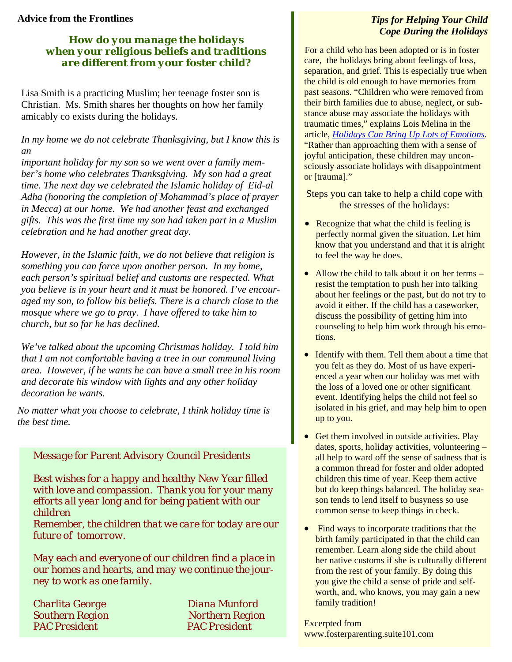# **Advice from the Frontlines**

# *How do you manage the holidays when your religious beliefs and traditions are different from your foster child?*

Lisa Smith is a practicing Muslim; her teenage foster son is Christian. Ms. Smith shares her thoughts on how her family amicably co exists during the holidays.

*In my home we do not celebrate Thanksgiving, but I know this is an* 

*important holiday for my son so we went over a family member's home who celebrates Thanksgiving. My son had a great time. The next day we celebrated the Islamic holiday of Eid-al Adha (honoring the completion of Mohammad's place of prayer in Mecca) at our home. We had another feast and exchanged gifts. This was the first time my son had taken part in a Muslim celebration and he had another great day.* 

*However, in the Islamic faith, we do not believe that religion is something you can force upon another person. In my home, each person's spiritual belief and customs are respected. What you believe is in your heart and it must be honored. I've encouraged my son, to follow his beliefs. There is a church close to the mosque where we go to pray. I have offered to take him to church, but so far he has declined.* 

*We've talked about the upcoming Christmas holiday. I told him that I am not comfortable having a tree in our communal living area. However, if he wants he can have a small tree in his room and decorate his window with lights and any other holiday decoration he wants.* 

*No matter what you choose to celebrate, I think holiday time is the best time.* 

# *Message for Parent Advisory Council Presidents*

*Best wishes for a happy and healthy New Year filled with love and compassion. Thank you for your many efforts all year long and for being patient with our children* 

*Remember, the children that we care for today are our future of tomorrow.* 

*May each and everyone of our children find a place in our homes and hearts, and may we continue the journey to work as one family.* 

*Charlita George Diana Munford* 

*Southern Region Northern Region PAC President PAC President* 

# *Tips for Helping Your Child Cope During the Holidays*

For a child who has been adopted or is in foster care, the holidays bring about feelings of loss, separation, and grief. This is especially true when the child is old enough to have memories from past seasons. "Children who were removed from their birth families due to abuse, neglect, or substance abuse may associate the holidays with traumatic times," explains Lois Melina in the article, *Holidays Can Bring Up Lots of Emotions.*  "Rather than approaching them with a sense of joyful anticipation, these children may unconsciously associate holidays with disappointment or [trauma]."

Steps you can take to help a child cope with the stresses of the holidays:

- Recognize that what the child is feeling is perfectly normal given the situation. Let him know that you understand and that it is alright to feel the way he does.
- Allow the child to talk about it on her terms resist the temptation to push her into talking about her feelings or the past, but do not try to avoid it either. If the child has a caseworker, discuss the possibility of getting him into counseling to help him work through his emotions.
- Identify with them. Tell them about a time that you felt as they do. Most of us have experienced a year when our holiday was met with the loss of a loved one or other significant event. Identifying helps the child not feel so isolated in his grief, and may help him to open up to you.
- Get them involved in outside activities. Play dates, sports, holiday activities, volunteering – all help to ward off the sense of sadness that is a common thread for foster and older adopted children this time of year. Keep them active but do keep things balanced. The holiday season tends to lend itself to busyness so use common sense to keep things in check.
- Find ways to incorporate traditions that the birth family participated in that the child can remember. Learn along side the child about her native customs if she is culturally different from the rest of your family. By doing this you give the child a sense of pride and selfworth, and, who knows, you may gain a new family tradition!

Excerpted from www.fosterparenting.suite101.com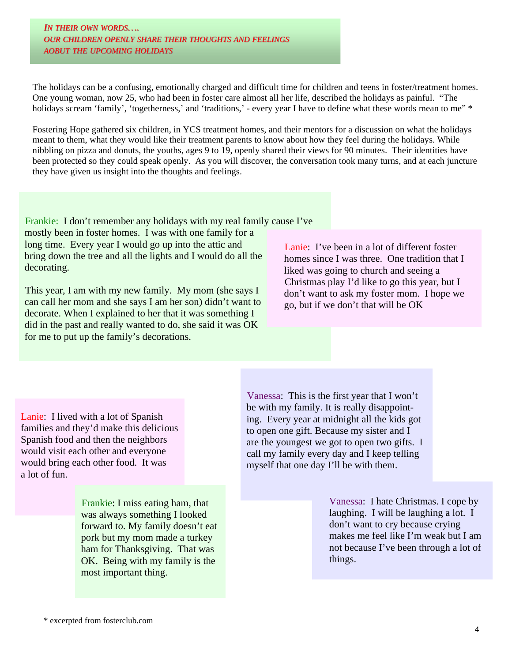*IN THEIR OWN WORDS…. OUR CHILDREN OPENLY SHARE THEIR THOUGHTS THOUGHTS AND FEELINGS FEELINGS AOBUT THE UPCOMING HOLIDAYS HOLIDAYS*

The holidays can be a confusing, emotionally charged and difficult time for children and teens in foster/treatment homes. One young woman, now 25, who had been in foster care almost all her life, described the holidays as painful. "The holidays scream 'family', 'togetherness,' and 'traditions,' - every year I have to define what these words mean to me" \*

Fostering Hope gathered six children, in YCS treatment homes, and their mentors for a discussion on what the holidays meant to them, what they would like their treatment parents to know about how they feel during the holidays. While nibbling on pizza and donuts, the youths, ages 9 to 19, openly shared their views for 90 minutes. Their identities have been protected so they could speak openly. As you will discover, the conversation took many turns, and at each juncture they have given us insight into the thoughts and feelings.

Frankie: I don't remember any holidays with my real family cause I've mostly been in foster homes. I was with one family for a long time. Every year I would go up into the attic and bring down the tree and all the lights and I would do all the decorating.

This year, I am with my new family. My mom (she says I can call her mom and she says I am her son) didn't want to decorate. When I explained to her that it was something I did in the past and really wanted to do, she said it was OK for me to put up the family's decorations.

Lanie: I've been in a lot of different foster homes since I was three. One tradition that I liked was going to church and seeing a Christmas play I'd like to go this year, but I don't want to ask my foster mom. I hope we go, but if we don't that will be OK

Lanie: I lived with a lot of Spanish families and they'd make this delicious Spanish food and then the neighbors would visit each other and everyone would bring each other food. It was a lot of fun.

> Frankie: I miss eating ham, that was always something I looked forward to. My family doesn't eat pork but my mom made a turkey ham for Thanksgiving. That was OK. Being with my family is the most important thing.

Vanessa: This is the first year that I won't be with my family. It is really disappointing. Every year at midnight all the kids got to open one gift. Because my sister and I are the youngest we got to open two gifts. I call my family every day and I keep telling myself that one day I'll be with them.

> Vanessa: I hate Christmas. I cope by laughing. I will be laughing a lot. I don't want to cry because crying makes me feel like I'm weak but I am not because I've been through a lot of things.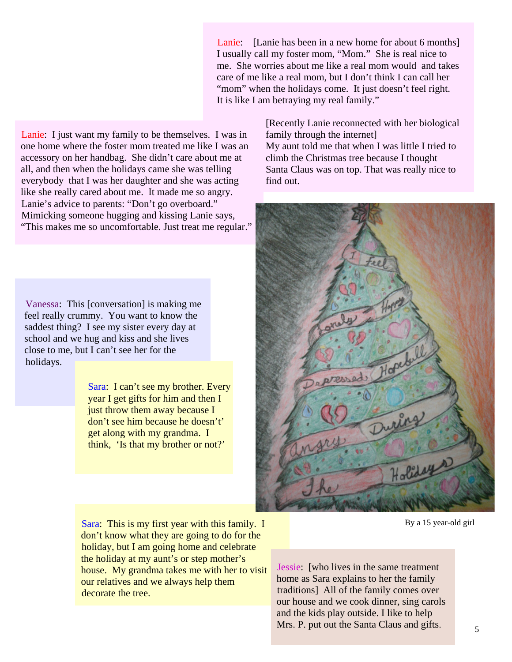Lanie: [Lanie has been in a new home for about 6 months] I usually call my foster mom, "Mom." She is real nice to me. She worries about me like a real mom would and takes care of me like a real mom, but I don't think I can call her "mom" when the holidays come. It just doesn't feel right. It is like I am betraying my real family."

Lanie: I just want my family to be themselves. I was in one home where the foster mom treated me like I was an accessory on her handbag. She didn't care about me at all, and then when the holidays came she was telling everybody that I was her daughter and she was acting like she really cared about me. It made me so angry. Lanie's advice to parents: "Don't go overboard." Mimicking someone hugging and kissing Lanie says, "This makes me so uncomfortable. Just treat me regular."

Vanessa: This [conversation] is making me feel really crummy. You want to know the saddest thing? I see my sister every day at school and we hug and kiss and she lives close to me, but I can't see her for the holidays.

> Sara: I can't see my brother. Every year I get gifts for him and then I just throw them away because I don't see him because he doesn't' get along with my grandma. I think, 'Is that my brother or not?'

Sara: This is my first year with this family. I don't know what they are going to do for the holiday, but I am going home and celebrate the holiday at my aunt's or step mother's house. My grandma takes me with her to visit our relatives and we always help them decorate the tree.

[Recently Lanie reconnected with her biological family through the internet] My aunt told me that when I was little I tried to climb the Christmas tree because I thought Santa Claus was on top. That was really nice to find out.



By a 15 year-old girl

Jessie: [who lives in the same treatment home as Sara explains to her the family traditions] All of the family comes over our house and we cook dinner, sing carols and the kids play outside. I like to help Mrs. P. put out the Santa Claus and gifts.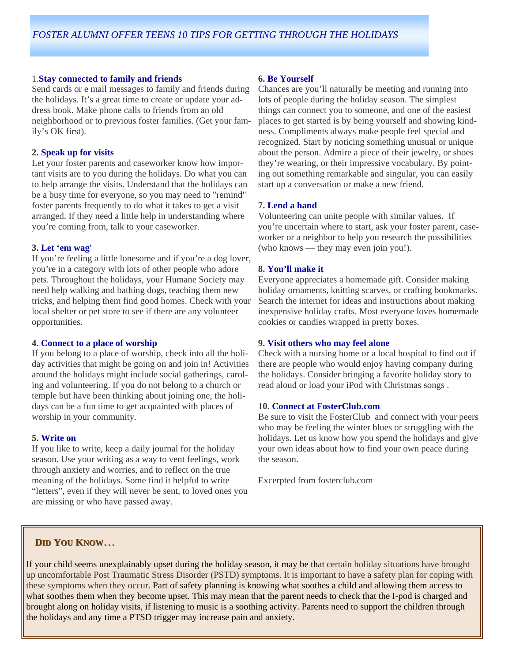#### 1.**Stay connected to family and friends**

Send cards or e mail messages to family and friends during the holidays. It's a great time to create or update your address book. Make phone calls to friends from an old neighborhood or to previous foster families. (Get your family's OK first).

#### **2. Speak up for visits**

Let your foster parents and caseworker know how important visits are to you during the holidays. Do what you can to help arrange the visits. Understand that the holidays can be a busy time for everyone, so you may need to "remind" foster parents frequently to do what it takes to get a visit arranged. If they need a little help in understanding where you're coming from, talk to your caseworker.

#### **3. Let 'em wag'**

If you're feeling a little lonesome and if you're a dog lover, you're in a category with lots of other people who adore pets. Throughout the holidays, your Humane Society may need help walking and bathing dogs, teaching them new tricks, and helping them find good homes. Check with your local shelter or pet store to see if there are any volunteer opportunities.

#### **4. Connect to a place of worship**

If you belong to a place of worship, check into all the holiday activities that might be going on and join in! Activities around the holidays might include social gatherings, caroling and volunteering. If you do not belong to a church or temple but have been thinking about joining one, the holidays can be a fun time to get acquainted with places of worship in your community.

#### **5. Write on**

If you like to write, keep a daily journal for the holiday season. Use your writing as a way to vent feelings, work through anxiety and worries, and to reflect on the true meaning of the holidays. Some find it helpful to write "letters", even if they will never be sent, to loved ones you are missing or who have passed away.

#### **6. Be Yourself**

Chances are you'll naturally be meeting and running into lots of people during the holiday season. The simplest things can connect you to someone, and one of the easiest places to get started is by being yourself and showing kindness. Compliments always make people feel special and recognized. Start by noticing something unusual or unique about the person. Admire a piece of their jewelry, or shoes they're wearing, or their impressive vocabulary. By pointing out something remarkable and singular, you can easily start up a conversation or make a new friend.

#### **7. Lend a hand**

Volunteering can unite people with similar values. If you're uncertain where to start, ask your foster parent, caseworker or a neighbor to help you research the possibilities (who knows — they may even join you!).

### **8. You'll make it**

Everyone appreciates a homemade gift. Consider making holiday ornaments, knitting scarves, or crafting bookmarks. Search the internet for ideas and instructions about making inexpensive holiday crafts. Most everyone loves homemade cookies or candies wrapped in pretty boxes.

#### **9. Visit others who may feel alone**

Check with a nursing home or a local hospital to find out if there are people who would enjoy having company during the holidays. Consider bringing a favorite holiday story to read aloud or load your iPod with Christmas songs .

#### **10. Connect at FosterClub.com**

Be sure to visit the FosterClub and connect with your peers who may be feeling the winter blues or struggling with the holidays. Let us know how you spend the holidays and give your own ideas about how to find your own peace during the season.

6

Excerpted from fosterclub.com

### **DID YOU KNOW**…

If your child seems unexplainably upset during the holiday season, it may be that certain holiday situations have brought up uncomfortable Post Traumatic Stress Disorder (PSTD) symptoms. It is important to have a safety plan for coping with these symptoms when they occur. Part of safety planning is knowing what soothes a child and allowing them access to what soothes them when they become upset. This may mean that the parent needs to check that the I-pod is charged and brought along on holiday visits, if listening to music is a soothing activity. Parents need to support the children through the holidays and any time a PTSD trigger may increase pain and anxiety.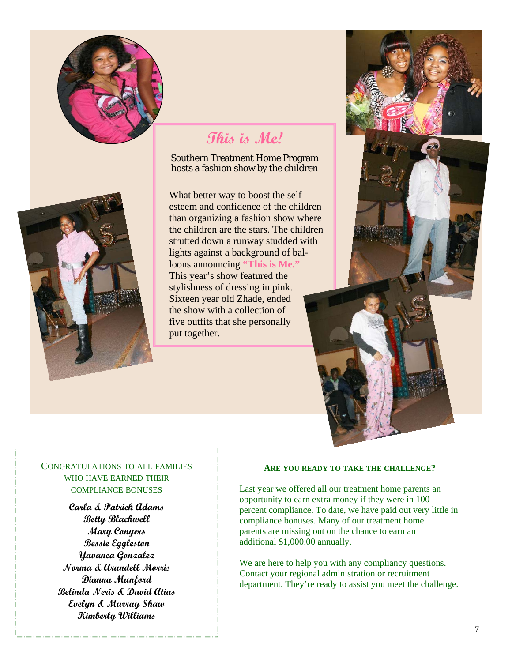



### Southern Treatment Home Program hosts a fashion show by the children

What better way to boost the self esteem and confidence of the children than organizing a fashion show where the children are the stars. The children strutted down a runway studded with lights against a background of balloons announcing **"This is Me."**  This year's show featured the stylishness of dressing in pink. Sixteen year old Zhade, ended the show with a collection of five outfits that she personally put together.





# CONGRATULATIONS TO ALL FAMILIES WHO HAVE EARNED THEIR COMPLIANCE BONUSES

**Carla & Patrick Adams Betty Blackwell Mary Conyers Bessie Eggleston Yavanca Gonzalez Norma & Arundell Morris Dianna Munford Belinda Neris & David Atias Evelyn & Murray Shaw Kimberly Williams** 

#### **ARE YOU READY TO TAKE THE CHALLENGE?**

Last year we offered all our treatment home parents an opportunity to earn extra money if they were in 100 percent compliance. To date, we have paid out very little in compliance bonuses. Many of our treatment home parents are missing out on the chance to earn an additional \$1,000.00 annually.

We are here to help you with any compliancy questions. Contact your regional administration or recruitment department. They're ready to assist you meet the challenge.